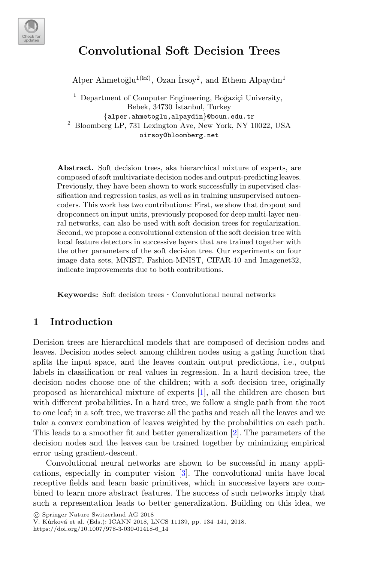

# **Convolutional Soft Decision Trees**

Alper Ahmetoğlu<sup>1( $\boxtimes$ )</sup>, Ozan İrsoy<sup>2</sup>, and Ethem Alpaydın<sup>1</sup>

<sup>1</sup> Department of Computer Engineering, Boğaziçi University, Bebek, 34730 İstanbul, Turkey *{*alper.ahmetoglu,alpaydin*}*@boun.edu.tr <sup>2</sup> Bloomberg LP, 731 Lexington Ave, New York, NY 10022, USA oirsoy@bloomberg.net

**Abstract.** Soft decision trees, aka hierarchical mixture of experts, are composed of soft multivariate decision nodes and output-predicting leaves. Previously, they have been shown to work successfully in supervised classification and regression tasks, as well as in training unsupervised autoencoders. This work has two contributions: First, we show that dropout and dropconnect on input units, previously proposed for deep multi-layer neural networks, can also be used with soft decision trees for regularization. Second, we propose a convolutional extension of the soft decision tree with local feature detectors in successive layers that are trained together with the other parameters of the soft decision tree. Our experiments on four image data sets, MNIST, Fashion-MNIST, CIFAR-10 and Imagenet32, indicate improvements due to both contributions.

**Keywords:** Soft decision trees · Convolutional neural networks

### **1 Introduction**

Decision trees are hierarchical models that are composed of decision nodes and leaves. Decision nodes select among children nodes using a gating function that splits the input space, and the leaves contain output predictions, i.e., output labels in classification or real values in regression. In a hard decision tree, the decision nodes choose one of the children; with a soft decision tree, originally proposed as hierarchical mixture of experts [\[1](#page-7-0)], all the children are chosen but with different probabilities. In a hard tree, we follow a single path from the root to one leaf; in a soft tree, we traverse all the paths and reach all the leaves and we take a convex combination of leaves weighted by the probabilities on each path. This leads to a smoother fit and better generalization [\[2\]](#page-7-1). The parameters of the decision nodes and the leaves can be trained together by minimizing empirical error using gradient-descent.

Convolutional neural networks are shown to be successful in many applications, especially in computer vision [\[3\]](#page-7-2). The convolutional units have local receptive fields and learn basic primitives, which in successive layers are combined to learn more abstract features. The success of such networks imply that such a representation leads to better generalization. Building on this idea, we

-c Springer Nature Switzerland AG 2018

V. Kůrková et al. (Eds.): ICANN 2018, LNCS 11139, pp. 134-141, 2018. https://doi.org/10.1007/978-3-030-01418-6\_14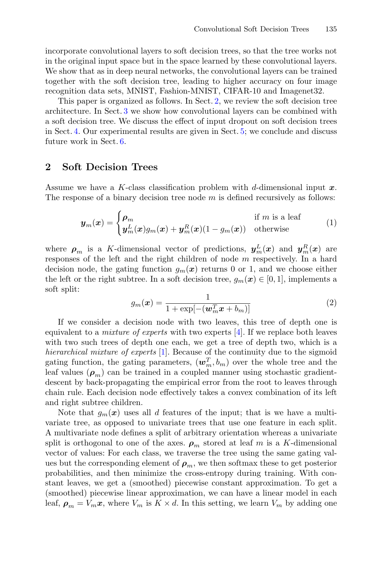incorporate convolutional layers to soft decision trees, so that the tree works not in the original input space but in the space learned by these convolutional layers. We show that as in deep neural networks, the convolutional layers can be trained together with the soft decision tree, leading to higher accuracy on four image recognition data sets, MNIST, Fashion-MNIST, CIFAR-10 and Imagenet32.

This paper is organized as follows. In Sect. [2,](#page-1-0) we review the soft decision tree architecture. In Sect. [3](#page-2-0) we show how convolutional layers can be combined with a soft decision tree. We discuss the effect of input dropout on soft decision trees in Sect. [4.](#page-2-1) Our experimental results are given in Sect. [5;](#page-3-0) we conclude and discuss future work in Sect. [6.](#page-7-3)

#### <span id="page-1-0"></span>**2 Soft Decision Trees**

Assume we have a K-class classification problem with d-dimensional input *x*. The response of a binary decision tree node  $m$  is defined recursively as follows:

$$
\boldsymbol{y}_{m}(\boldsymbol{x}) = \begin{cases} \boldsymbol{\rho}_{m} & \text{if } m \text{ is a leaf} \\ \boldsymbol{y}_{m}^{L}(\boldsymbol{x})g_{m}(\boldsymbol{x}) + \boldsymbol{y}_{m}^{R}(\boldsymbol{x})(1 - g_{m}(\boldsymbol{x})) & \text{otherwise} \end{cases}
$$
(1)

where  $\rho_m$  is a K-dimensional vector of predictions,  $y_m^L(x)$  and  $y_m^R(x)$  are responses of the left and the right children of node  $m$  respectively. In a hard decision node, the gating function  $g_m(x)$  returns 0 or 1, and we choose either the left or the right subtree. In a soft decision tree,  $g_m(\mathbf{x}) \in [0,1]$ , implements a soft split:

$$
g_m(\boldsymbol{x}) = \frac{1}{1 + \exp[-(\boldsymbol{w}_m^T \boldsymbol{x} + b_m)]} \tag{2}
$$

If we consider a decision node with two leaves, this tree of depth one is equivalent to a *mixture of experts* with two experts [\[4\]](#page-7-4). If we replace both leaves with two such trees of depth one each, we get a tree of depth two, which is a *hierarchical mixture of experts* [\[1\]](#page-7-0). Because of the continuity due to the sigmoid gating function, the gating parameters,  $(w_m^T, b_m)$  over the whole tree and the leaf values  $(\rho_m)$  can be trained in a coupled manner using stochastic gradientdescent by back-propagating the empirical error from the root to leaves through chain rule. Each decision node effectively takes a convex combination of its left and right subtree children.

Note that  $g_m(x)$  uses all d features of the input; that is we have a multivariate tree, as opposed to univariate trees that use one feature in each split. A multivariate node defines a split of arbitrary orientation whereas a univariate split is orthogonal to one of the axes.  $\rho_m$  stored at leaf m is a K-dimensional vector of values: For each class, we traverse the tree using the same gating values but the corresponding element of  $\rho_m$ , we then softmax these to get posterior probabilities, and then minimize the cross-entropy during training. With constant leaves, we get a (smoothed) piecewise constant approximation. To get a (smoothed) piecewise linear approximation, we can have a linear model in each leaf,  $\rho_m = V_m x$ , where  $V_m$  is  $K \times d$ . In this setting, we learn  $V_m$  by adding one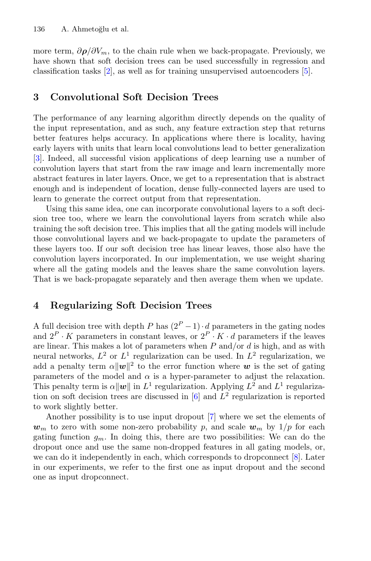more term,  $\partial \rho / \partial V_m$ , to the chain rule when we back-propagate. Previously, we have shown that soft decision trees can be used successfully in regression and classification tasks [\[2\]](#page-7-1), as well as for training unsupervised autoencoders [\[5](#page-7-5)].

## <span id="page-2-0"></span>**3 Convolutional Soft Decision Trees**

The performance of any learning algorithm directly depends on the quality of the input representation, and as such, any feature extraction step that returns better features helps accuracy. In applications where there is locality, having early layers with units that learn local convolutions lead to better generalization [\[3](#page-7-2)]. Indeed, all successful vision applications of deep learning use a number of convolution layers that start from the raw image and learn incrementally more abstract features in later layers. Once, we get to a representation that is abstract enough and is independent of location, dense fully-connected layers are used to learn to generate the correct output from that representation.

Using this same idea, one can incorporate convolutional layers to a soft decision tree too, where we learn the convolutional layers from scratch while also training the soft decision tree. This implies that all the gating models will include those convolutional layers and we back-propagate to update the parameters of these layers too. If our soft decision tree has linear leaves, those also have the convolution layers incorporated. In our implementation, we use weight sharing where all the gating models and the leaves share the same convolution layers. That is we back-propagate separately and then average them when we update.

## <span id="page-2-1"></span>**4 Regularizing Soft Decision Trees**

A full decision tree with depth P has  $(2^P - 1) \cdot d$  parameters in the gating nodes and  $2^P \cdot K$  parameters in constant leaves, or  $2^P \cdot K \cdot d$  parameters if the leaves are linear. This makes a lot of parameters when  $P$  and/or  $d$  is high, and as with neural networks,  $L^2$  or  $L^1$  regularization can be used. In  $L^2$  regularization, we add a penalty term  $\alpha ||w||^2$  to the error function where w is the set of gating parameters of the model and  $\alpha$  is a hyper-parameter to adjust the relaxation. This penalty term is  $\alpha ||w||$  in  $L^1$  regularization. Applying  $L^2$  and  $L^1$  regularization on soft decision trees are discussed in  $[6]$  and  $L^2$  regularization is reported to work slightly better.

Another possibility is to use input dropout [\[7](#page-7-7)] where we set the elements of  $w_m$  to zero with some non-zero probability p, and scale  $w_m$  by  $1/p$  for each gating function  $g_m$ . In doing this, there are two possibilities: We can do the dropout once and use the same non-dropped features in all gating models, or, we can do it independently in each, which corresponds to dropconnect [\[8](#page-7-8)]. Later in our experiments, we refer to the first one as input dropout and the second one as input dropconnect.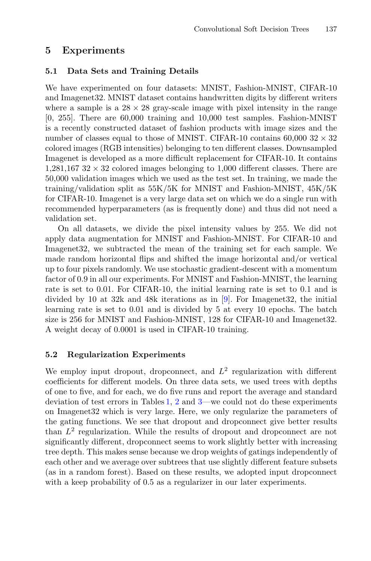## <span id="page-3-0"></span>**5 Experiments**

#### **5.1 Data Sets and Training Details**

We have experimented on four datasets: MNIST, Fashion-MNIST, CIFAR-10 and Imagenet32. MNIST dataset contains handwritten digits by different writers where a sample is a  $28 \times 28$  gray-scale image with pixel intensity in the range [0, 255]. There are 60,000 training and 10,000 test samples. Fashion-MNIST is a recently constructed dataset of fashion products with image sizes and the number of classes equal to those of MNIST. CIFAR-10 contains  $60,000$   $32 \times 32$ colored images (RGB intensities) belonging to ten different classes. Downsampled Imagenet is developed as a more difficult replacement for CIFAR-10. It contains  $1,281,167,32 \times 32$  colored images belonging to 1,000 different classes. There are 50,000 validation images which we used as the test set. In training, we made the training/validation split as 55K/5K for MNIST and Fashion-MNIST, 45K/5K for CIFAR-10. Imagenet is a very large data set on which we do a single run with recommended hyperparameters (as is frequently done) and thus did not need a validation set.

On all datasets, we divide the pixel intensity values by 255. We did not apply data augmentation for MNIST and Fashion-MNIST. For CIFAR-10 and Imagenet32, we subtracted the mean of the training set for each sample. We made random horizontal flips and shifted the image horizontal and/or vertical up to four pixels randomly. We use stochastic gradient-descent with a momentum factor of 0.9 in all our experiments. For MNIST and Fashion-MNIST, the learning rate is set to 0.01. For CIFAR-10, the initial learning rate is set to 0.1 and is divided by 10 at 32k and 48k iterations as in [\[9](#page-7-9)]. For Imagenet32, the initial learning rate is set to 0.01 and is divided by 5 at every 10 epochs. The batch size is 256 for MNIST and Fashion-MNIST, 128 for CIFAR-10 and Imagenet32. A weight decay of 0.0001 is used in CIFAR-10 training.

#### **5.2 Regularization Experiments**

We employ input dropout, dropconnect, and  $L^2$  regularization with different coefficients for different models. On three data sets, we used trees with depths of one to five, and for each, we do five runs and report the average and standard deviation of test errors in Tables [1,](#page-4-0) [2](#page-5-0) and [3—](#page-6-0)we could not do these experiments on Imagenet32 which is very large. Here, we only regularize the parameters of the gating functions. We see that dropout and dropconnect give better results than  $L^2$  regularization. While the results of dropout and dropconnect are not significantly different, dropconnect seems to work slightly better with increasing tree depth. This makes sense because we drop weights of gatings independently of each other and we average over subtrees that use slightly different feature subsets (as in a random forest). Based on these results, we adopted input dropconnect with a keep probability of  $0.5$  as a regularizer in our later experiments.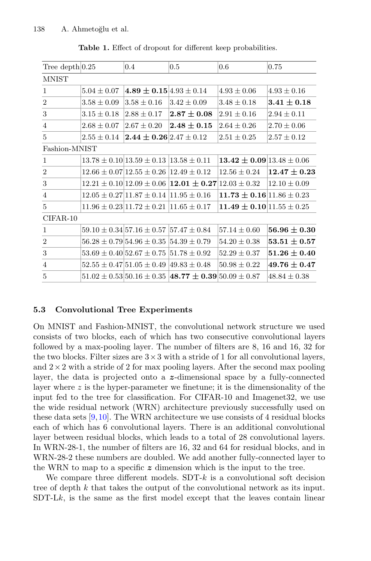| Tree depth $0.25$ |                 | 0.4                                                      | 0.5                                                                   | 0.6                                | 0.75             |  |  |
|-------------------|-----------------|----------------------------------------------------------|-----------------------------------------------------------------------|------------------------------------|------------------|--|--|
| <b>MNIST</b>      |                 |                                                          |                                                                       |                                    |                  |  |  |
| $\mathbf{1}$      | $5.04 \pm 0.07$ | $4.89 + 0.15   4.93 + 0.14$                              |                                                                       | $4.93 + 0.06$                      | $4.93 \pm 0.16$  |  |  |
| $\overline{2}$    | $3.58 \pm 0.09$ | $3.58 + 0.16$                                            | $3.42 \pm 0.09$                                                       | $3.48 + 0.18$                      | $3.41\pm0.18$    |  |  |
| 3                 | $3.15 \pm 0.18$ | $2.88 \pm 0.17$                                          | $2.87\pm0.08$                                                         | $2.91 \pm 0.16$                    | $2.94 \pm 0.11$  |  |  |
| $\overline{4}$    | $2.68 \pm 0.07$ | $2.67 + 0.20$                                            | $2.48 + 0.15$                                                         | $2.64 + 0.26$                      | $2.70 \pm 0.06$  |  |  |
| 5                 | $2.55 \pm 0.14$ | $2.44 \pm 0.26$ 2.47 $\pm$ 0.12                          |                                                                       | $2.51 \pm 0.25$                    | $2.57 \pm 0.12$  |  |  |
| Fashion-MNIST     |                 |                                                          |                                                                       |                                    |                  |  |  |
| 1                 |                 | $13.78 \pm 0.1013.59 \pm 0.1313.58 \pm 0.11$             |                                                                       | $13.42 \pm 0.0913.48 \pm 0.06$     |                  |  |  |
| $\overline{2}$    |                 | $12.66 \pm 0.07$ 12.55 $\pm$ 0.26  12.49 $\pm$ 0.12      |                                                                       | $12.56 + 0.24$                     | $12.47 \pm 0.23$ |  |  |
| 3                 |                 |                                                          | $12.21 \pm 0.1012.09 \pm 0.061$ $12.01 \pm 0.2712.03 \pm 0.32$        |                                    | $12.10 \pm 0.09$ |  |  |
| $\overline{4}$    |                 | $12.05 \pm 0.27$  11.87 $\pm$ 0.14  11.95 $\pm$ 0.16     |                                                                       | $11.73 \pm 0.16$  11.86 $\pm$ 0.23 |                  |  |  |
| $\mathbf{5}$      |                 | $11.96 \pm 0.23 \mid 11.72 \pm 0.21 \mid 11.65 \pm 0.17$ |                                                                       | $11.49 \pm 0.10$  11.55 $\pm$ 0.25 |                  |  |  |
| CIFAR-10          |                 |                                                          |                                                                       |                                    |                  |  |  |
| $\mathbf{1}$      |                 | $59.10 \pm 0.34$ 57.16 $\pm 0.57$                        | $57.47 \pm 0.84$                                                      | $57.14 \pm 0.60$                   | $56.96\pm0.30$   |  |  |
| $\overline{2}$    |                 | $56.28 \pm 0.79$ 54.96 $\pm 0.35$                        | $154.39 \pm 0.79$                                                     | $54.20 \pm 0.38$                   | $53.51 \pm 0.57$ |  |  |
| 3                 |                 | $53.69 \pm 0.40152.67 \pm 0.75151.78 \pm 0.92$           |                                                                       | $52.29 + 0.37$                     | $51.26 \pm 0.40$ |  |  |
| $\overline{4}$    |                 | $52.55 \pm 0.47$ $51.05 \pm 0.49$ $49.83 \pm 0.48$       |                                                                       | $50.98 \pm 0.22$                   | $49.76 \pm 0.47$ |  |  |
| 5                 |                 |                                                          | $51.02 \pm 0.53$ 50.16 $\pm$ 0.35  48.77 $\pm$ 0.39  50.09 $\pm$ 0.87 |                                    | $48.84 \pm 0.38$ |  |  |
|                   |                 |                                                          |                                                                       |                                    |                  |  |  |

<span id="page-4-0"></span>**Table 1.** Effect of dropout for different keep probabilities.

#### **5.3 Convolutional Tree Experiments**

On MNIST and Fashion-MNIST, the convolutional network structure we used consists of two blocks, each of which has two consecutive convolutional layers followed by a max-pooling layer. The number of filters are 8, 16 and 16, 32 for the two blocks. Filter sizes are  $3 \times 3$  with a stride of 1 for all convolutional layers, and  $2 \times 2$  with a stride of 2 for max pooling layers. After the second max pooling layer, the data is projected onto a *z*-dimensional space by a fully-connected layer where z is the hyper-parameter we finetune; it is the dimensionality of the input fed to the tree for classification. For CIFAR-10 and Imagenet32, we use the wide residual network (WRN) architecture previously successfully used on these data sets  $[9,10]$  $[9,10]$ . The WRN architecture we use consists of 4 residual blocks each of which has 6 convolutional layers. There is an additional convolutional layer between residual blocks, which leads to a total of 28 convolutional layers. In WRN-28-1, the number of filters are 16, 32 and 64 for residual blocks, and in WRN-28-2 these numbers are doubled. We add another fully-connected layer to the WRN to map to a specific *z* dimension which is the input to the tree.

We compare three different models.  $SDT-k$  is a convolutional soft decision tree of depth k that takes the output of the convolutional network as its input.  $SDT-Lk$ , is the same as the first model except that the leaves contain linear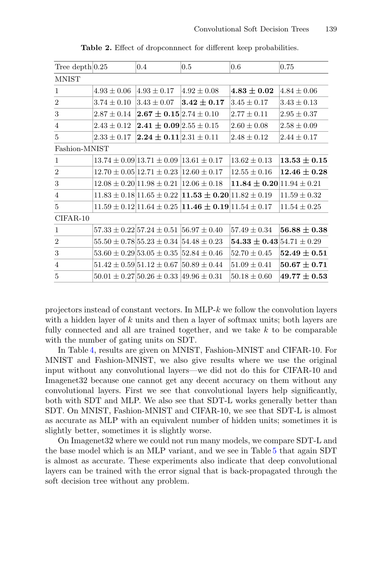| Tree depth $0.25$ |                 | 0.4                                                  | 0.5                                                                                  | 0.6                                | 0.75             |  |  |  |
|-------------------|-----------------|------------------------------------------------------|--------------------------------------------------------------------------------------|------------------------------------|------------------|--|--|--|
| MNIST             |                 |                                                      |                                                                                      |                                    |                  |  |  |  |
| $\mathbf{1}$      | $4.93 \pm 0.06$ | $4.93 \pm 0.17$                                      | $4.92 + 0.08$                                                                        | $4.83 + 0.02$                      | $4.84 + 0.06$    |  |  |  |
| $\overline{2}$    | $3.74 \pm 0.10$ | $3.43 \pm 0.07$                                      | $3.42 \pm 0.17$                                                                      | $3.45 + 0.17$                      | $3.43 \pm 0.13$  |  |  |  |
| 3                 | $2.87 \pm 0.14$ | $2.67 \pm 0.15$  2.74 $\pm$ 0.10                     |                                                                                      | $2.77 \pm 0.11$                    | $2.95 \pm 0.37$  |  |  |  |
| $\overline{4}$    | $2.43 \pm 0.12$ | $2.41 + 0.09$ $2.55 + 0.15$                          |                                                                                      | $2.60 + 0.08$                      | $2.58 \pm 0.09$  |  |  |  |
| 5                 | $2.33 \pm 0.17$ | $2.24 \pm 0.11   2.31 \pm 0.11$                      |                                                                                      | $2.48 \pm 0.12$                    | $2.44 \pm 0.17$  |  |  |  |
|                   | Fashion-MNIST   |                                                      |                                                                                      |                                    |                  |  |  |  |
| 1                 |                 | $13.74 \pm 0.0913.71 \pm 0.0913.61 \pm 0.17$         |                                                                                      | $13.62 \pm 0.13$                   | $13.53 \pm 0.15$ |  |  |  |
| $\overline{2}$    |                 | $12.70 \pm 0.05$ 12.71 $\pm$ 0.23 12.60 $\pm$ 0.17   |                                                                                      | $12.55 \pm 0.16$                   | $12.46 \pm 0.28$ |  |  |  |
| 3                 |                 | $12.08 \pm 0.20$  11.98 $\pm$ 0.21  12.06 $\pm$ 0.18 |                                                                                      | $11.84 \pm 0.20$  11.94 $\pm$ 0.21 |                  |  |  |  |
| $\overline{4}$    |                 |                                                      | $11.83 \pm 0.18$  11.65 $\pm$ 0.22  11.53 $\pm$ 0.20 11.82 $\pm$ 0.19                |                                    | $11.59 \pm 0.32$ |  |  |  |
| $\mathbf{5}$      |                 |                                                      | $11.59 \pm 0.12$ $11.64 \pm 0.25$ $\bm{ }11.46 \pm \bm{0.19}$ $\ket{11.54 \pm 0.17}$ |                                    | $11.54 \pm 0.25$ |  |  |  |
| $CIFAR-10$        |                 |                                                      |                                                                                      |                                    |                  |  |  |  |
| $\mathbf{1}$      |                 | $57.33 \pm 0.22$ $57.24 \pm 0.51$                    | $56.97 \pm 0.40$                                                                     | $57.49 \pm 0.34$                   | $56.88 \pm 0.38$ |  |  |  |
| $\overline{2}$    |                 | $55.50 \pm 0.78$ 55.23 $\pm$ 0.34 54.48 $\pm$ 0.23   |                                                                                      | $54.33 \pm 0.43$ 54.71 $\pm$ 0.29  |                  |  |  |  |
| 3                 |                 | $53.60 \pm 0.29$ $53.05 \pm 0.35$ $52.84 \pm 0.46$   |                                                                                      | $52.70 \pm 0.45$                   | $52.49 \pm 0.51$ |  |  |  |
| $\overline{4}$    |                 | $51.42 \pm 0.59$ 51.12 $\pm 0.67$                    | $50.89 \pm 0.44$                                                                     | $51.09 \pm 0.41$                   | $50.67 \pm 0.71$ |  |  |  |
| 5                 |                 | $50.01 \pm 0.27$ $50.26 \pm 0.33$ $49.96 \pm 0.31$   |                                                                                      | $50.18 \pm 0.60$                   | $49.77 \pm 0.53$ |  |  |  |

<span id="page-5-0"></span>**Table 2.** Effect of dropconnnect for different keep probabilities.

projectors instead of constant vectors. In MLP-k we follow the convolution layers with a hidden layer of  $k$  units and then a layer of softmax units; both layers are fully connected and all are trained together, and we take k to be comparable with the number of gating units on SDT.

In Table [4,](#page-6-1) results are given on MNIST, Fashion-MNIST and CIFAR-10. For MNIST and Fashion-MNIST, we also give results where we use the original input without any convolutional layers—we did not do this for CIFAR-10 and Imagenet32 because one cannot get any decent accuracy on them without any convolutional layers. First we see that convolutional layers help significantly, both with SDT and MLP. We also see that SDT-L works generally better than SDT. On MNIST, Fashion-MNIST and CIFAR-10, we see that SDT-L is almost as accurate as MLP with an equivalent number of hidden units; sometimes it is slightly better, sometimes it is slightly worse.

On Imagenet32 where we could not run many models, we compare SDT-L and the base model which is an MLP variant, and we see in Table [5](#page-7-11) that again SDT is almost as accurate. These experiments also indicate that deep convolutional layers can be trained with the error signal that is back-propagated through the soft decision tree without any problem.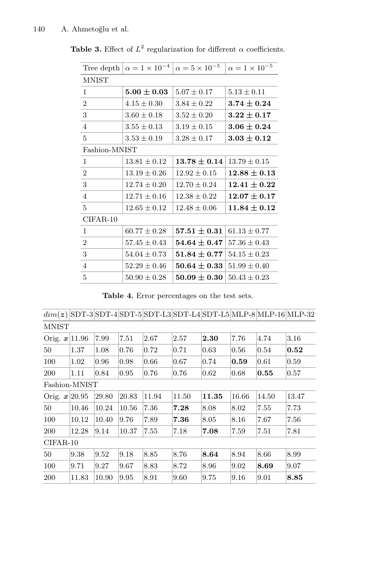<span id="page-6-0"></span>

|                | Tree depth $\alpha = 1 \times 10^{-4}$ | $\alpha = 5 \times 10^{-5}$ | $\alpha = 1 \times 10^{-5}$ |  |  |  |  |
|----------------|----------------------------------------|-----------------------------|-----------------------------|--|--|--|--|
| MNIST          |                                        |                             |                             |  |  |  |  |
| 1              | $5.00 + 0.03$                          | $5.07 + 0.17$               | $5.13 + 0.11$               |  |  |  |  |
| $\overline{2}$ | $4.15 \pm 0.30$                        | $3.84 + 0.22$               | $3.74 + 0.24$               |  |  |  |  |
| 3              | $3.60 \pm 0.18$                        | $3.52 + 0.20$               | $3.22 + 0.17$               |  |  |  |  |
| $\overline{4}$ | $3.55 \pm 0.13$                        | $3.19 + 0.15$               | $3.06 + 0.24$               |  |  |  |  |
| 5              | $3.53 \pm 0.19$                        | $3.28 + 0.17$               | $3.03\pm0.12$               |  |  |  |  |
| Fashion-MNIST  |                                        |                             |                             |  |  |  |  |
| 1              | $13.81 \pm 0.12$                       | $13.78\pm0.14$              | $13.79 \pm 0.15$            |  |  |  |  |
| $\mathfrak{D}$ | $13.19 \pm 0.26$                       | $12.92 \pm 0.15$            | $12.88 \pm 0.13$            |  |  |  |  |
| 3              | $12.74 + 0.20$                         | $12.70 \pm 0.24$            | $12.41 \pm 0.22$            |  |  |  |  |
| $\overline{4}$ | $12.71 \pm 0.16$                       | $12.38 \pm 0.22$            | $12.07\pm0.17$              |  |  |  |  |
| 5              | $12.65 \pm 0.12$                       | $12.48 \pm 0.06$            | $11.84 \pm 0.12$            |  |  |  |  |
| $CIFAR-10$     |                                        |                             |                             |  |  |  |  |
| 1              | $60.77 \pm 0.28$                       | $57.51 \pm 0.31$            | $61.13 \pm 0.77$            |  |  |  |  |
| $\mathfrak{D}$ | $57.45 \pm 0.43$                       | $54.64 + 0.47$              | $57.36 \pm 0.43$            |  |  |  |  |
| 3              | $54.04 \pm 0.73$                       | $51.84 + 0.77$              | $54.15 \pm 0.23$            |  |  |  |  |
| $\overline{4}$ | $52.29 + 0.46$                         | $50.64 + 0.33$              | $51.99 \pm 0.40$            |  |  |  |  |
| 5              | $50.90 \pm 0.28$                       | $50.09 + 0.30$              | $50.43 \pm 0.23$            |  |  |  |  |

**Table 3.** Effect of  $L^2$  regularization for different  $\alpha$  coefficients.

<span id="page-6-1"></span>**Table 4.** Error percentages on the test sets.

| dim(z)          |       |       |       |       |       | $ SDT-3 SDT-4 SDT-5 SDT-L3 SDT-L4 SDT-L5 MLP-8 MLP-16 MLP-32$ |          |       |       |
|-----------------|-------|-------|-------|-------|-------|---------------------------------------------------------------|----------|-------|-------|
| <b>MNIST</b>    |       |       |       |       |       |                                                               |          |       |       |
| Orig. $x 11.96$ |       | 7.99  | 7.51  | 2.67  | 2.57  | $2.30\,$                                                      | 7.76     | 4.74  | 3.16  |
| 50              | 1.37  | 1.08  | 0.76  | 0.72  | 0.71  | 0.63                                                          | 0.56     | 0.54  | 0.52  |
| 100             | 1.02  | 0.96  | 0.98  | 0.66  | 0.67  | 0.74                                                          | 0.59     | 0.61  | 0.59  |
| 200             | 1.11  | 0.84  | 0.95  | 0.76  | 0.76  | 0.62                                                          | 0.68     | 0.55  | 0.57  |
| Fashion-MNIST   |       |       |       |       |       |                                                               |          |       |       |
| Orig. $x 20.95$ |       | 29.80 | 20.83 | 11.94 | 11.50 | 11.35                                                         | 16.66    | 14.50 | 13.47 |
| 50              | 10.46 | 10.24 | 10.56 | 7.36  | 7.28  | 8.08                                                          | 8.02     | 7.55  | 7.73  |
| 100             | 10.12 | 10.40 | 9.76  | 7.89  | 7.36  | 8.05                                                          | $8.16\,$ | 7.67  | 7.56  |
| 200             | 12.28 | 9.14  | 10.37 | 7.55  | 7.18  | 7.08                                                          | 7.59     | 7.51  | 7.81  |
| $CIFAR-10$      |       |       |       |       |       |                                                               |          |       |       |
| 50              | 9.38  | 9.52  | 9.18  | 8.85  | 8.76  | 8.64                                                          | 8.94     | 8.66  | 8.99  |
| 100             | 9.71  | 9.27  | 9.67  | 8.83  | 8.72  | 8.96                                                          | 9.02     | 8.69  | 9.07  |
| 200             | 11.83 | 10.90 | 9.95  | 8.91  | 9.60  | 9.75                                                          | 9.16     | 9.01  | 8.85  |
|                 |       |       |       |       |       |                                                               |          |       |       |